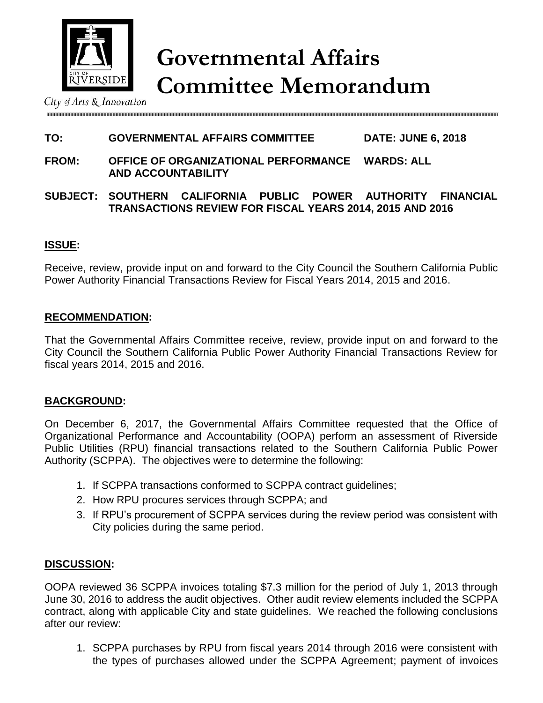

City of Arts & Innovation

## **TO: GOVERNMENTAL AFFAIRS COMMITTEE DATE: JUNE 6, 2018**

- **FROM: OFFICE OF ORGANIZATIONAL PERFORMANCE WARDS: ALL AND ACCOUNTABILITY**
- **SUBJECT: SOUTHERN CALIFORNIA PUBLIC POWER AUTHORITY FINANCIAL TRANSACTIONS REVIEW FOR FISCAL YEARS 2014, 2015 AND 2016**

### **ISSUE:**

Receive, review, provide input on and forward to the City Council the Southern California Public Power Authority Financial Transactions Review for Fiscal Years 2014, 2015 and 2016.

#### **RECOMMENDATION:**

That the Governmental Affairs Committee receive, review, provide input on and forward to the City Council the Southern California Public Power Authority Financial Transactions Review for fiscal years 2014, 2015 and 2016.

#### **BACKGROUND:**

On December 6, 2017, the Governmental Affairs Committee requested that the Office of Organizational Performance and Accountability (OOPA) perform an assessment of Riverside Public Utilities (RPU) financial transactions related to the Southern California Public Power Authority (SCPPA). The objectives were to determine the following:

- 1. If SCPPA transactions conformed to SCPPA contract guidelines;
- 2. How RPU procures services through SCPPA; and
- 3. If RPU's procurement of SCPPA services during the review period was consistent with City policies during the same period.

#### **DISCUSSION:**

OOPA reviewed 36 SCPPA invoices totaling \$7.3 million for the period of July 1, 2013 through June 30, 2016 to address the audit objectives. Other audit review elements included the SCPPA contract, along with applicable City and state guidelines. We reached the following conclusions after our review:

1. SCPPA purchases by RPU from fiscal years 2014 through 2016 were consistent with the types of purchases allowed under the SCPPA Agreement; payment of invoices